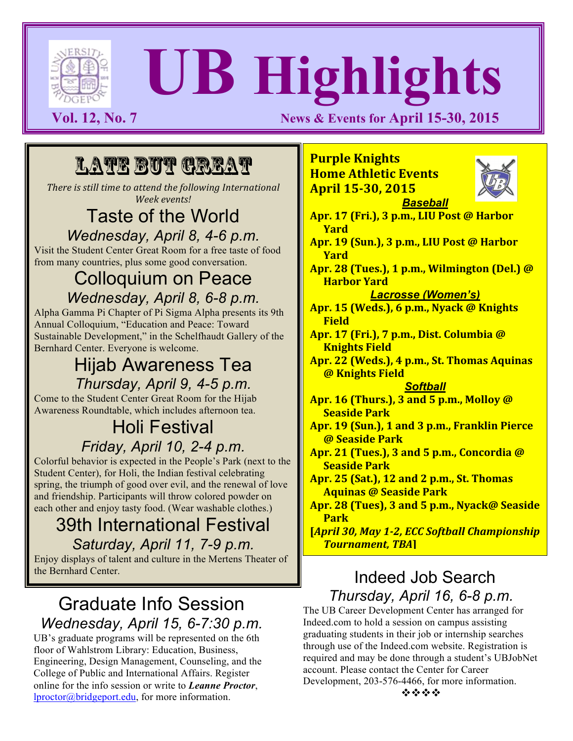

# **UB Highlights**

**Vol. 12, No. 7 News & Events for April 15-30, 2015** 

# Late But Great

*There is still time to attend the following International Week events!*

#### Taste of the World *Wednesday, April 8, 4-6 p.m.*

Visit the Student Center Great Room for a free taste of food from many countries, plus some good conversation.

#### Colloquium on Peace *Wednesday, April 8, 6-8 p.m.*

Alpha Gamma Pi Chapter of Pi Sigma Alpha presents its 9th Annual Colloquium, "Education and Peace: Toward Sustainable Development," in the Schelfhaudt Gallery of the Bernhard Center. Everyone is welcome.

#### Hijab Awareness Tea *Thursday, April 9, 4-5 p.m.*

Come to the Student Center Great Room for the Hijab Awareness Roundtable, which includes afternoon tea.

#### Holi Festival *Friday, April 10, 2-4 p.m.*

Colorful behavior is expected in the People's Park (next to the Student Center), for Holi, the Indian festival celebrating spring, the triumph of good over evil, and the renewal of love and friendship. Participants will throw colored powder on each other and enjoy tasty food. (Wear washable clothes.)

#### 39th International Festival *Saturday, April 11, 7-9 p.m.*

Enjoy displays of talent and culture in the Mertens Theater of the Bernhard Center.

#### Graduate Info Session *Wednesday, April 15, 6-7:30 p.m.*

UB's graduate programs will be represented on the 6th floor of Wahlstrom Library: Education, Business, Engineering, Design Management, Counseling, and the College of Public and International Affairs. Register online for the info session or write to *Leanne Proctor*, lproctor@bridgeport.edu, for more information.

#### **Purple Knights Home Athletic Events April 15-30, 2015** *Baseball*



**Apr.** 17 (Fri.), 3 p.m., LIU Post @ Harbor **Yard Apr.** 19 (Sun.), 3 p.m., LIU Post @ Harbor **Yard Apr.** 28 (Tues.), 1 p.m., Wilmington (Del.) @ **Harbor** Yard *Lacrosse (Women's)* Apr. 15 (Weds.), 6 p.m., Nyack @ Knights **Field Apr. 17 (Fri.), 7 p.m., Dist. Columbia @ Knights Field** Apr. 22 (Weds.), 4 p.m., St. Thomas Aquinas **@ Knights Field** *Softball* **Apr. 16 (Thurs.), 3 and 5 p.m., Molloy @ Seaside Park** Apr. 19 (Sun.), 1 and 3 p.m., Franklin Pierce **@ Seaside Park Apr. 21 (Tues.), 3 and 5 p.m., Concordia @ Seaside Park Apr. 25 (Sat.), 12 and 2 p.m., St. Thomas Aquinas @ Seaside Park** Apr. 28 (Tues), 3 and 5 p.m., Nyack@ Seaside

**Park [April 30, May 1-2, ECC Softball Championship** *Tournament, TBA***]**

#### Indeed Job Search *Thursday, April 16, 6-8 p.m.*

The UB Career Development Center has arranged for Indeed.com to hold a session on campus assisting graduating students in their job or internship searches through use of the Indeed.com website. Registration is required and may be done through a student's UBJobNet account. Please contact the Center for Career Development, 203-576-4466, for more information. \*\*\*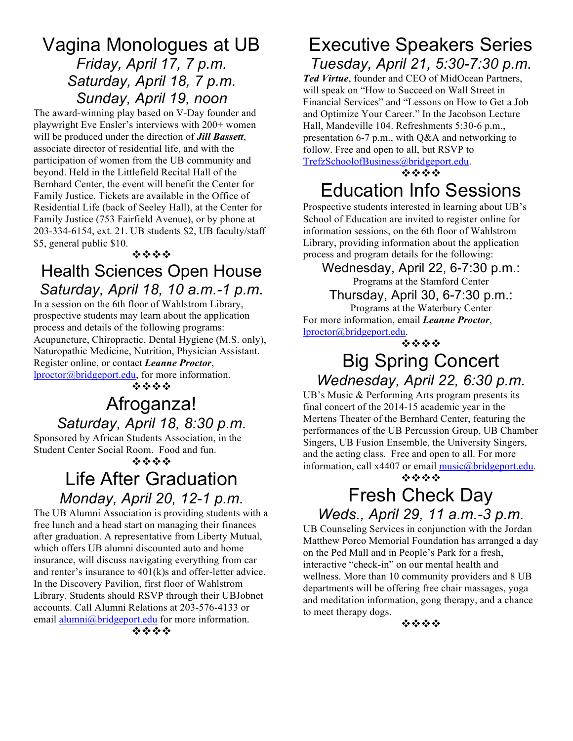#### Vagina Monologues at UB *Friday, April 17, 7 p.m. Saturday, April 18, 7 p.m. Sunday, April 19, noon*

The award-winning play based on V-Day founder and playwright Eve Ensler's interviews with 200+ women will be produced under the direction of *Jill Bassett*, associate director of residential life, and with the participation of women from the UB community and beyond. Held in the Littlefield Recital Hall of the Bernhard Center, the event will benefit the Center for Family Justice. Tickets are available in the Office of Residential Life (back of Seeley Hall), at the Center for Family Justice (753 Fairfield Avenue), or by phone at 203-334-6154, ext. 21. UB students \$2, UB faculty/staff \$5, general public \$10.



#### Health Sciences Open House *Saturday, April 18, 10 a.m.-1 p.m.*

In a session on the 6th floor of Wahlstrom Library, prospective students may learn about the application process and details of the following programs: Acupuncture, Chiropractic, Dental Hygiene (M.S. only), Naturopathic Medicine, Nutrition, Physician Assistant. Register online, or contact *Leanne Proctor*, lproctor@bridgeport.edu, for more information. \*\*\*\*

# Afroganza! *Saturday, April 18, 8:30 p.m.*

Sponsored by African Students Association, in the Student Center Social Room. Food and fun.

\*\*\*

# Life After Graduation *Monday, April 20, 12-1 p.m.*

The UB Alumni Association is providing students with a free lunch and a head start on managing their finances after graduation. A representative from Liberty Mutual, which offers UB alumni discounted auto and home insurance, will discuss navigating everything from car and renter's insurance to 401(k)s and offer-letter advice. In the Discovery Pavilion, first floor of Wahlstrom Library. Students should RSVP through their UBJobnet accounts. Call Alumni Relations at 203-576-4133 or email alumni@bridgeport.edu for more information.

## Executive Speakers Series *Tuesday, April 21, 5:30-7:30 p.m.*

*Ted Virtue*, founder and CEO of MidOcean Partners, will speak on "How to Succeed on Wall Street in Financial Services" and "Lessons on How to Get a Job and Optimize Your Career." In the Jacobson Lecture Hall, Mandeville 104. Refreshments 5:30-6 p.m., presentation 6-7 p.m., with Q&A and networking to follow. Free and open to all, but RSVP to

TrefzSchoolofBusiness@bridgeport.edu.

\*\*\*\*

# Education Info Sessions

Prospective students interested in learning about UB's School of Education are invited to register online for information sessions, on the 6th floor of Wahlstrom Library, providing information about the application process and program details for the following:

Wednesday, April 22, 6-7:30 p.m.: Programs at the Stamford Center Thursday, April 30, 6-7:30 p.m.:

Programs at the Waterbury Center For more information, email *Leanne Proctor*, lproctor@bridgeport.edu.

\*\*\*

## Big Spring Concert *Wednesday, April 22, 6:30 p.m.*

UB's Music & Performing Arts program presents its final concert of the 2014-15 academic year in the Mertens Theater of the Bernhard Center, featuring the performances of the UB Percussion Group, UB Chamber Singers, UB Fusion Ensemble, the University Singers, and the acting class. Free and open to all. For more information, call  $x4407$  or email  $music@bridgeport.edu$ .

\*\*\*

## Fresh Check Day *Weds., April 29, 11 a.m.-3 p.m.*

UB Counseling Services in conjunction with the Jordan Matthew Porco Memorial Foundation has arranged a day on the Ped Mall and in People's Park for a fresh, interactive "check-in" on our mental health and wellness. More than 10 community providers and 8 UB departments will be offering free chair massages, yoga and meditation information, gong therapy, and a chance to meet therapy dogs.

\*\*\*\*